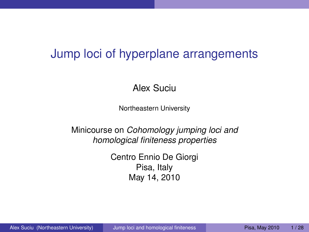# Jump loci of hyperplane arrangements

Alex Suciu

Northeastern University

Minicourse on *Cohomology jumping loci and homological finiteness properties*

> <span id="page-0-0"></span>Centro Ennio De Giorgi Pisa, Italy May 14, 2010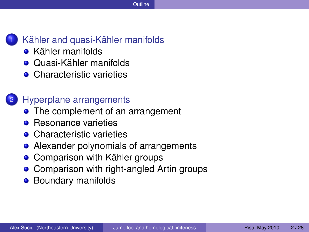

### [Kähler and quasi-Kähler manifolds](#page-2-0)

- **•** [Kähler manifolds](#page-2-0)
- **[Quasi-Kähler manifolds](#page-3-0)**
- **[Characteristic varieties](#page-4-0)**

### [Hyperplane arrangements](#page-8-0)

- [The complement of an arrangement](#page-8-0)
- **•** [Resonance varieties](#page-10-0)
- **[Characteristic varieties](#page-14-0)**
- [Alexander polynomials of arrangements](#page-15-0)
- [Comparison with Kähler groups](#page-18-0)  $\bullet$
- [Comparison with right-angled Artin groups](#page-20-0)  $\bullet$
- **•** [Boundary manifolds](#page-24-0)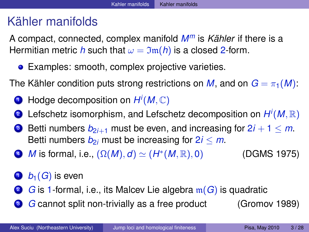# Kähler manifolds

A compact, connected, complex manifold *M<sup>m</sup>* is *Kähler* if there is a Hermitian metric *h* such that  $\omega = \mathfrak{Im}(h)$  is a closed 2-form.

**•** Examples: smooth, complex projective varieties.

The Kähler condition puts strong restrictions on *M*, and on  $G = \pi_1(M)$ :

- <sup>1</sup> Hodge decomposition on *H i* (*M*, C)
- **2** Lefschetz isomorphism, and Lefschetz decomposition on  $H^i(M,\mathbb{R})$
- **3** Betti numbers  $b_{2i+1}$  must be even, and increasing for  $2i + 1 \le m$ . Betti numbers  $b_{2i}$  must be increasing for  $2i \le m$ .
- **4** *M* is formal, i.e.,  $(\Omega(M), d) \simeq (H^*)$ (DGMS 1975)
- $\bullet$   $b_1(G)$  is even
- **■** *G* is 1-formal, i.e., its Malcev Lie algebra m(*G*) is quadratic
- <span id="page-2-0"></span>**3** *G* cannot split non-trivially as a free product (Gromov 1989)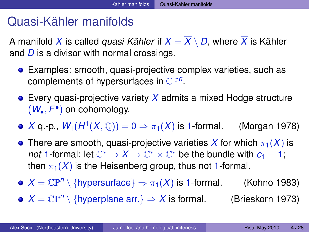## Quasi-Kähler manifolds

A manifold X is called *quasi-Kähler* if  $X = \overline{X} \setminus D$ , where  $\overline{X}$  is Kähler and *D* is a divisor with normal crossings.

- Examples: smooth, quasi-projective complex varieties, such as complements of hypersurfaces in CP*<sup>n</sup>* .
- Every quasi-projective variety *X* admits a mixed Hodge structure (*W*•, *F* • ) on cohomology.
- *X* q.-p.,  $W_1(H^1(X, \mathbb{Q})) = 0 \Rightarrow \pi_1(X)$  is 1-formal. (Morgan 1978)
- **•** There are smooth, quasi-projective varieties X for which  $\pi_1(X)$  is *not* 1-formal: let  $\mathbb{C}^* \to X \to \mathbb{C}^* \times \mathbb{C}^*$  be the bundle with  $c_1 = 1$ ; then  $\pi_1(X)$  is the Heisenberg group, thus not 1-formal.
- $X = \mathbb{CP}^n \setminus \{$ hypersurface $\} \Rightarrow \pi_1(X)$  is 1-formal. (Kohno 1983)
- <span id="page-3-0"></span> $X = \mathbb{CP}^n \setminus \{$ hyperplane arr. $\} \Rightarrow X$  is formal. (Brieskorn 1973)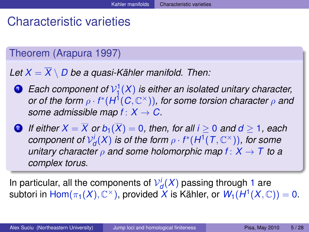# Characteristic varieties

## Theorem (Arapura 1997)

Let  $X = \overline{X} \setminus D$  be a quasi-Kähler manifold. Then:

<sup>1</sup> *Each component of* V 1 1 (*X*) *is either an isolated unitary character,*  $\sigma$ r of the form  $\rho \cdot f^*(H^1(C,{\mathbb C}^\times))$ , for some torsion character  $\rho$  and *some admissible map*  $f: X \rightarrow C$ .

2 *If either*  $X = \overline{X}$  *or*  $b_1(\overline{X}) = 0$ *, then, for all i*  $\geq 0$  *and*  $d \geq 1$ *, each*  $\mathcal{C}$ *component of*  $\mathcal{V}^i_d(X)$  *is of the form*  $\rho \cdot f^*(H^1(T,\mathbb{C}^\times))$ *, for some unitary character*  $\rho$  *and some holomorphic map*  $f: X \to T$  *to a complex torus.*

<span id="page-4-0"></span>In particular, all the components of  $\mathcal{V}^i_d(X)$  passing through 1 are  $\mathsf{subtori}$  in  $\mathsf{Hom}(\pi_1(X),\mathbb{C}^\times)$ , provided  $X$  is Kähler, or  $\mathsf{W}_1(H^1(X,\mathbb{C}))=0.$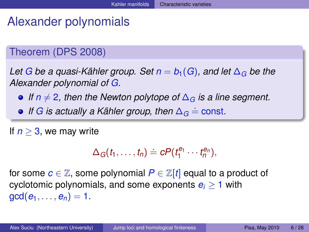# Alexander polynomials

## Theorem (DPS 2008)

Let *G* be a quasi-Kähler group. Set  $n = b_1(G)$ , and let  $\Delta_G$  be the *Alexander polynomial of G.*

**•** If *n*  $\neq$  2, then the Newton polytope of  $\Delta$ <sub>G</sub> is a line segment.

*If G is actually a Kähler group, then*  $\Delta_G$  = const.

If  $n > 3$ , we may write

$$
\Delta_G(t_1,\ldots,t_n)\doteq cP(t_1^{e_1}\cdots t_n^{e_n}),
$$

for some  $c \in \mathbb{Z}$ , some polynomial  $P \in \mathbb{Z}[t]$  equal to a product of cyclotomic polynomials, and some exponents  $e_i \geq 1$  with  $gcd(e_1, ..., e_n) = 1$ .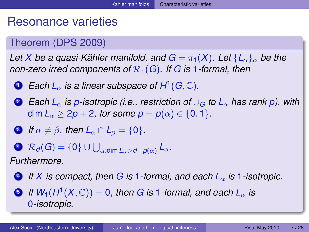# Resonance varieties

## Theorem (DPS 2009)

*Let X be a quasi-Kähler manifold, and*  $G = \pi_1(X)$ *. Let*  $\{L_{\alpha}\}\alpha$  *be the non-zero irred components of*  $\mathcal{R}_1(G)$ *. If*  $G$  *is* 1*-formal, then* 

- **1** Each  $L_\alpha$  is a linear subspace of  $H^1(G,\mathbb{C})$ .
- <sup>2</sup> *Each L*<sup>α</sup> *is p-isotropic (i.e., restriction of* ∪*<sup>G</sup> to L*<sup>α</sup> *has rank p), with* dim  $L_{\alpha} \geq 2p + 2$ , for some  $p = p(\alpha) \in \{0, 1\}$ .
- **3** *If*  $\alpha \neq \beta$ , then  $L_{\alpha} \cap L_{\beta} = \{0\}$ .
- $\mathcal{R}_\mathcal{d}(G) = \{0\} \cup \bigcup_{\alpha: \mathsf{dim}\, L_\alpha > d + \rho(\alpha)} L_\alpha.$

*Furthermore,*

- <sup>4</sup> *If X is compact, then G is* 1*-formal, and each L*<sup>α</sup> *is* 1*-isotropic.*
- $\bullet$  *If*  $W_1(H^1(X,{\mathbb C})) = 0$ *, then G is 1-formal, and each*  $L_\alpha$  *is* 0*-isotropic.*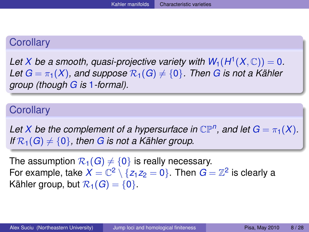## **Corollary**

Let *X* be a smooth, quasi-projective variety with  $W_1(H^1(X, \mathbb{C})) = 0$ . *Let*  $G = \pi_1(X)$ , and suppose  $\mathcal{R}_1(G) \neq \{0\}$ . Then G is not a Kähler *group (though G is* 1*-formal).*

#### **Corollary**

*Let X* be the complement of a hypersurface in  $\mathbb{CP}^n$ , and let  $G = \pi_1(X)$ . *If*  $\mathcal{R}_1(G) \neq \{0\}$ , then *G* is not a Kähler group.

The assumption  $\mathcal{R}_1(G) \neq \{0\}$  is really necessary. For example, take  $X = \mathbb{C}^2 \setminus \{z_1z_2 = 0\}$ . Then  $G = \mathbb{Z}^2$  is clearly a Kähler group, but  $\mathcal{R}_1(G) = \{0\}$ .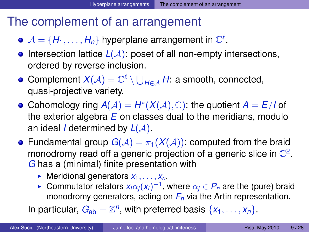# The complement of an arrangement

- $\mathcal{A} = \{H_1, \ldots, H_n\}$  hyperplane arrangement in  $\mathbb{C}^{\ell}$ .
- **•** Intersection lattice  $L(\mathcal{A})$ : poset of all non-empty intersections, ordered by reverse inclusion.
- $\mathsf{Complement}\ X(\mathcal{A})=\mathbb{C}^\ell\setminus\bigcup_{H\in\mathcal{A}}H: \ \text{a smooth, connected},$ quasi-projective variety.
- Cohomology ring  $A(A) = H^*(X(A), \mathbb{C})$ : the quotient  $A = E/I$  of the exterior algebra *E* on classes dual to the meridians, modulo an ideal *I* determined by *L*(A).
- Fundamental group  $G(A) = \pi_1(X(A))$ : computed from the braid monodromy read off a generic projection of a generic slice in  $\mathbb{C}^2$ . *G* has a (minimal) finite presentation with
	- $\blacktriangleright$  Meridional generators  $x_1, \ldots, x_n$ .
	- ► Commutator relators  $x_i\alpha_j(x_i)^{-1}$ , where  $\alpha_j \in P_n$  are the (pure) braid monodromy generators, acting on *F<sup>n</sup>* via the Artin representation.

<span id="page-8-0"></span>In particular,  $G_{ab} = \mathbb{Z}^n$ , with preferred basis  $\{x_1, \ldots, x_n\}$ .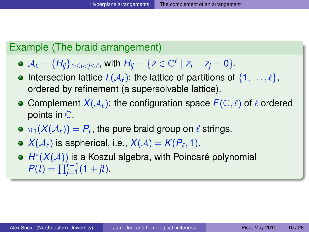### Example (The braid arrangement)

- $A_{\ell} = {H_{ij}}_{1 \leq i < j \leq \ell}$ , with  $H_{ij} = {z \in \mathbb{C}^{\ell} \mid z_i z_j = 0}.$
- **Intersection lattice**  $L(A_\ell)$ **: the lattice of partitions of**  $\{1, \ldots, \ell\}$ **,** ordered by refinement (a supersolvable lattice).
- Complement  $X(\mathcal{A}_{\ell})$ : the configuration space  $F(\mathbb{C}, \ell)$  of  $\ell$  ordered points in C.
- $\pi_1(X({\mathcal A}_\ell)) = P_\ell,$  the pure braid group on  $\ell$  strings.
- $X(\mathcal{A}_\ell)$  is aspherical, i.e.,  $X(\mathcal{A}) = K(P_\ell, 1).$
- *H* ∗ (*X*(A)) is a Koszul algebra, with Poincaré polynomial  $P(t) = \prod_{j=1}^{t-1} (1 + jt).$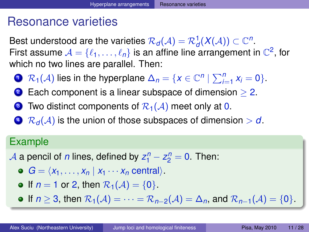## Resonance varieties

Best understood are the varieties  $\mathcal{R}_\mathit{d}(\mathcal{A}) = \mathcal{R}^1_\mathit{d}(\mathcal{X}(\mathcal{A})) \subset \mathbb{C}^n.$ First assume  $A = \{ \ell_1, ..., \ell_n \}$  is an affine line arrangement in  $\mathbb{C}^2$ , for which no two lines are parallel. Then:

- **1**  $\mathcal{R}_1(\mathcal{A})$  lies in the hyperplane  $\Delta_n = \{x \in \mathbb{C}^n \mid \sum_{i=1}^n x_i = 0\}.$
- 2 Each component is a linear subspace of dimension  $> 2$ .
- **3** Two distinct components of  $\mathcal{R}_1(\mathcal{A})$  meet only at 0.
- $\bigcirc$  R<sub>d</sub>(A) is the union of those subspaces of dimension  $> d$ .

### Example

- <span id="page-10-0"></span> $\mathcal{A}$  a pencil of *n* lines, defined by  $z_1^n - z_2^n = 0$ . Then:
	- $G = \langle x_1, \ldots, x_n | x_1 \cdots x_n \text{ central} \rangle.$
	- $\bullet$  If  $n = 1$  or 2, then  $\mathcal{R}_1(\mathcal{A}) = \{0\}.$
	- **•** If  $n \geq 3$ , then  $\mathcal{R}_1(\mathcal{A}) = \cdots = \mathcal{R}_{n-2}(\mathcal{A}) = \Delta_n$ , and  $\mathcal{R}_{n-1}(\mathcal{A}) = \{0\}$ .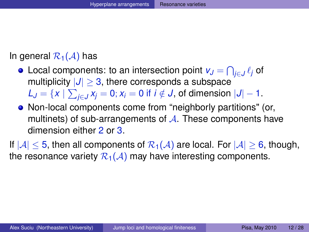#### In general  $\mathcal{R}_1(\mathcal{A})$  has

- Local components: to an intersection point  $\mathsf{v}_J = \bigcap_{j \in J} \ell_j$  of multiplicity  $|J| \geq 3$ , there corresponds a subspace  $\mathcal{L}_J = \{x \mid \sum_{j \in J} x_j = 0; x_i = 0 \text{ if } i \notin J \text{, of dimension } |J| - 1.$
- Non-local components come from "neighborly partitions" (or, multinets) of sub-arrangements of  $A$ . These components have dimension either 2 or 3.
- If  $|A|$  < 5, then all components of  $\mathcal{R}_1(A)$  are local. For  $|A| > 6$ , though, the resonance variety  $\mathcal{R}_1(\mathcal{A})$  may have interesting components.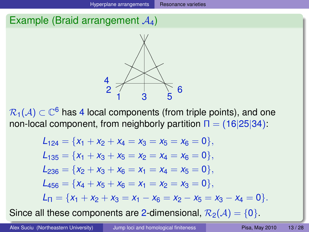## Example (Braid arrangement  $A_4$ )



 $\mathcal{R}_1(\mathcal{A})\subset\mathbb{C}^6$  has 4 local components (from triple points), and one non-local component, from neighborly partition  $\Pi = (16|25|34)$ :

$$
L_{124} = \{x_1 + x_2 + x_4 = x_3 = x_5 = x_6 = 0\},
$$
  
\n
$$
L_{135} = \{x_1 + x_3 + x_5 = x_2 = x_4 = x_6 = 0\},
$$
  
\n
$$
L_{236} = \{x_2 + x_3 + x_6 = x_1 = x_4 = x_5 = 0\},
$$
  
\n
$$
L_{456} = \{x_4 + x_5 + x_6 = x_1 = x_2 = x_3 = 0\},
$$
  
\n
$$
L_{\Pi} = \{x_1 + x_2 + x_3 = x_1 - x_6 = x_2 - x_5 = x_3 - x_4 = 0\}.
$$
  
\nll. Hence, comparison to, see a dimensional,  $\mathcal{P}_1$  (4).

Since all these components are 2-dimensional,  $\mathcal{R}_2(\mathcal{A}) = \{0\}$ .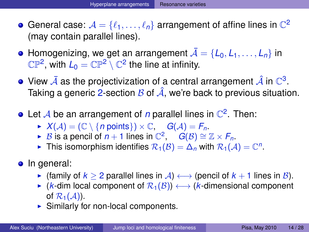- General case:  $\mathcal{A} = \{\ell_1, \ldots, \ell_n\}$  arrangement of affine lines in  $\mathbb{C}^2$ (may contain parallel lines).
- $\bullet$  Homogenizing, we get an arrangement  $\bar{\mathcal{A}} = \{L_0, L_1, \ldots, L_n\}$  in  $\mathbb{CP}^2$ , with  $L_0 = \mathbb{CP}^2 \setminus \mathbb{C}^2$  the line at infinity.
- View  $\bar{\mathcal{A}}$  as the projectivization of a central arrangement  $\hat{\mathcal{A}}$  in  $\mathbb{C}^3.$ Taking a generic 2-section  $\beta$  of  $\hat{A}$ , we're back to previous situation.
- Let  $\mathcal A$  be an arrangement of  $n$  parallel lines in  $\mathbb C^2.$  Then:
	- $\blacktriangleright$   $X(A) = (\mathbb{C} \setminus \{n \text{ points}\}) \times \mathbb{C}, \quad G(A) = F_n.$
	- ► *B* is a pencil of  $n + 1$  lines in  $\mathbb{C}^2$ ,  $\hat{G}(B) \cong \mathbb{Z} \times F_n$ .
	- ► This isomorphism identifies  $\mathcal{R}_1(\mathcal{B}) = \Delta_n$  with  $\mathcal{R}_1(\mathcal{A}) = \mathbb{C}^n$ .
- In general:
	- **•** (family of  $k \ge 2$  parallel lines in  $\mathcal{A}$ )  $\longleftrightarrow$  (pencil of  $k + 1$  lines in  $\mathcal{B}$ ).
	- $\triangleright$  (*k*-dim local component of  $\mathcal{R}_1(\mathcal{B})$ )  $\longleftrightarrow$  (*k*-dimensional component of  $\mathcal{R}_1(\mathcal{A})$ ).
	- $\triangleright$  Similarly for non-local components.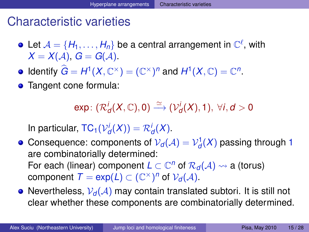## Characteristic varieties

- Let  $\mathcal{A} = \{H_1, \ldots, H_n\}$  be a central arrangement in  $\mathbb{C}^{\ell}$ , with  $X = X(A), G = G(A).$
- Identify  $\hat{G} = H^1(X, \mathbb{C}^\times) = (\mathbb{C}^\times)^n$  and  $H^1(X, \mathbb{C}) = \mathbb{C}^n$ .
- Tangent cone formula:

<span id="page-14-0"></span> $\exp\colon (\mathcal{R}^i_{\mathcal{d}}(X,\mathbb{C}),0) \stackrel{\simeq}{\longrightarrow} (\mathcal{V}^i_{\mathcal{d}}(X),1), \ \forall i, \mathcal{d} > 0$ 

In particular,  $TC_1(\mathcal{V}_d^i(X)) = \mathcal{R}_d^i(X)$ .

- Consequence: components of  ${\mathcal V}_d({\mathcal A})={\mathcal V}_d^1({\mathcal X})$  passing through 1 are combinatorially determined: For each (linear) component  $L \subset \mathbb{C}^n$  of  $\mathcal{R}_d(\mathcal{A}) \leadsto$  a (torus) component  $T = \exp(L) \subset (\mathbb{C}^{\times})^n$  of  $\mathcal{V}_d(\mathcal{A})$ .
- Nevertheless,  $V_d(A)$  may contain translated subtori. It is still not clear whether these components are combinatorially determined.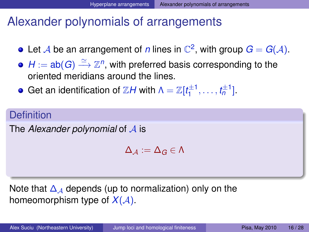# Alexander polynomials of arrangements

- Let A be an arrangement of *n* lines in  $\mathbb{C}^2$ , with group  $G = G(A)$ .
- $H := \mathsf{ab}(G) \stackrel{\simeq}{\longrightarrow} \mathbb{Z}^n,$  with preferred basis corresponding to the oriented meridians around the lines.
- Get an identification of  $\mathbb{Z} H$  with  $\Lambda = \mathbb{Z}[t_1^{\pm 1}]$  $t_1^{\pm 1}, \ldots, t_n^{\pm 1}$ .

## **Definition**

The *Alexander polynomial* of A is

<span id="page-15-0"></span> $\Delta_A := \Delta_G \in \Lambda$ 

Note that  $\Delta_A$  depends (up to normalization) only on the homeomorphism type of  $X(A)$ .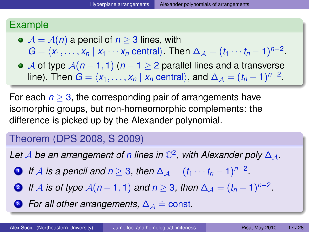### Example

 $\bullet$   $\mathcal{A} = \mathcal{A}(n)$  a pencil of  $n \geq 3$  lines, with

 $G = \langle x_1, \ldots, x_n | x_1 \cdots x_n \text{ central} \rangle$ . Then  $\Delta_{\mathcal{A}} = (t_1 \cdots t_n - 1)^{n-2}$ .

A of type A(*n* − 1, 1) (*n* − 1 ≥ 2 parallel lines and a transverse line). Then  $G = \langle x_1, \ldots, x_n | x_n \text{ central} \rangle$ , and  $\Delta_{\mathcal{A}} = (t_n - 1)^{n-2}$ .

For each  $n \geq 3$ , the corresponding pair of arrangements have isomorphic groups, but non-homeomorphic complements: the difference is picked up by the Alexander polynomial.

## Theorem (DPS 2008, S 2009)

Let  $\mathcal A$  be an arrangement of *n* lines in  $\mathbb C^2$ , with Alexander poly  $\Delta_\mathcal A$ .

- <span id="page-16-0"></span>**1** If A is a pencil and  $n \geq 3$ , then  $\Delta_{\mathcal{A}} = (t_1 \cdots t_n - 1)^{n-2}$ .
- <span id="page-16-1"></span>2 *If*  $\mathcal A$  *is of type*  $\mathcal A(n-1,1)$  and  $n\geq 3$ , then  $\Delta_{\mathcal A}=(t_n-1)^{n-2}$ .
- **3** For all other arrangements,  $\Delta_{\mathcal{A}} \doteq$  const.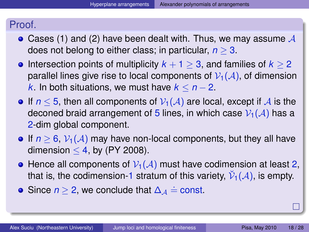### Proof.

- Cases [\(1\)](#page-16-0) and [\(2\)](#page-16-1) have been dealt with. Thus, we may assume  $\mathcal A$ does not belong to either class; in particular, *n* ≥ 3.
- **•** Intersection points of multiplicity  $k + 1 > 3$ , and families of  $k > 2$ parallel lines give rise to local components of  $V_1(\mathcal{A})$ , of dimension *k*. In both situations, we must have  $k \leq n-2$ .
- If  $n \leq 5$ , then all components of  $V_1(\mathcal{A})$  are local, except if  $\mathcal{A}$  is the deconed braid arrangement of 5 lines, in which case  $V_1(\mathcal{A})$  has a 2-dim global component.
- If  $n \geq 6$ ,  $\mathcal{V}_1(\mathcal{A})$  may have non-local components, but they all have dimension  $<$  4, by (PY 2008).
- Hence all components of  $V_1(A)$  must have codimension at least 2, that is, the codimension-1 stratum of this variety,  $\check{\mathcal{V}}_1(\mathcal{A}),$  is empty.
- Since  $n \geq 2$ , we conclude that  $\Delta_{\mathcal{A}} \doteq$  const.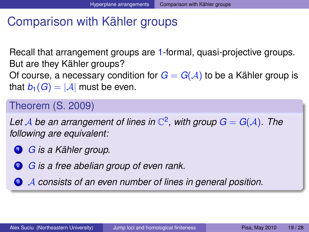## Comparison with Kähler groups

Recall that arrangement groups are 1-formal, quasi-projective groups. But are they Kähler groups? Of course, a necessary condition for  $G = G(A)$  to be a Kähler group is that  $b_1(G) = |A|$  must be even.

## Theorem (S. 2009)

Let A be an arrangement of lines in  $\mathbb{C}^2$ , with group  $G = G(A)$ . The *following are equivalent:*

- <span id="page-18-3"></span><sup>1</sup> *G is a Kähler group.*
- <span id="page-18-2"></span><sup>2</sup> *G is a free abelian group of even rank.*

<span id="page-18-1"></span><span id="page-18-0"></span><sup>3</sup> A *consists of an even number of lines in general position.*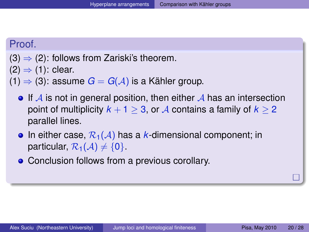#### Proof.

$$
(3) \Rightarrow (2)
$$
: follows from Zariski's theorem.

 $(2) \Rightarrow (1)$  $(2) \Rightarrow (1)$  $(2) \Rightarrow (1)$ : clear.

 $(1)$  ⇒ [\(3\)](#page-18-1): assume *G* = *G*( $A$ ) is a Kähler group.

- $\bullet$  If A is not in general position, then either A has an intersection point of multiplicity  $k + 1 > 3$ , or A contains a family of  $k > 2$ parallel lines.
- In either case,  $\mathcal{R}_1(\mathcal{A})$  has a *k*-dimensional component; in particular,  $\mathcal{R}_1(\mathcal{A}) \neq \{0\}$ .
- Conclusion follows from a previous corollary.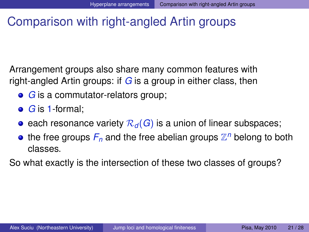## Comparison with right-angled Artin groups

Arrangement groups also share many common features with right-angled Artin groups: if *G* is a group in either class, then

- **•** *G* is a commutator-relators group;
- *G* is 1-formal;
- each resonance variety  $\mathcal{R}_d(G)$  is a union of linear subspaces;
- <span id="page-20-0"></span>the free groups  $F_n$  and the free abelian groups  $\mathbb{Z}^n$  belong to both classes.

So what exactly is the intersection of these two classes of groups?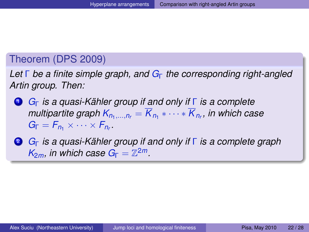#### Theorem (DPS 2009)

*Let* Γ *be a finite simple graph, and G*<sup>Γ</sup> *the corresponding right-angled Artin group. Then:*

- <sup>1</sup> *G*<sup>Γ</sup> *is a quasi-Kähler group if and only if* Γ *is a complete*  $m$ ultipartite graph  $K_{n_1,...,n_r} = K_{n_1} * \cdots * K_{n_r}$ , in which case  $G_{\Gamma} = F_{n_1} \times \cdots \times F_{n_r}$
- <sup>2</sup> *G*<sup>Γ</sup> *is a quasi-Kähler group if and only if* Γ *is a complete graph*  $K_{2m}$ *, in which case*  $G_{\Gamma} = \mathbb{Z}^{2m}$ *.*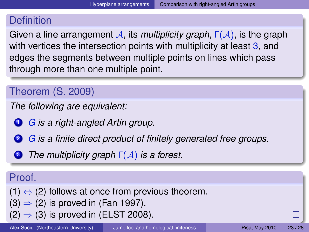### **Definition**

Given a line arrangement A, its *multiplicity graph*, Γ(A), is the graph with vertices the intersection points with multiplicity at least 3, and edges the segments between multiple points on lines which pass through more than one multiple point.

### Theorem (S. 2009)

*The following are equivalent:*

<span id="page-22-0"></span><sup>1</sup> *G is a right-angled Artin group.*

<span id="page-22-1"></span><sup>2</sup> *G is a finite direct product of finitely generated free groups.*

<span id="page-22-2"></span><sup>3</sup> *The multiplicity graph* Γ(A) *is a forest.*

### Proof.

 $(1) \Leftrightarrow (2)$  $(1) \Leftrightarrow (2)$  $(1) \Leftrightarrow (2)$  follows at once from previous theorem.  $(3) \Rightarrow (2)$  $(3) \Rightarrow (2)$  $(3) \Rightarrow (2)$  is proved in (Fan 1997).  $(2) \Rightarrow (3)$  $(2) \Rightarrow (3)$  $(2) \Rightarrow (3)$  is proved in (ELST 2008).

Alex Suciu (Northeastern University) [Jump loci and homological finiteness](#page-0-0) Pisa, May 2010 23/28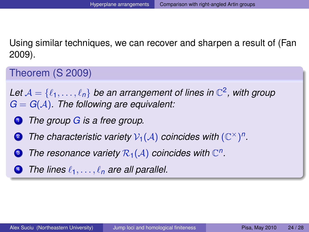Using similar techniques, we can recover and sharpen a result of (Fan 2009).

Theorem (S 2009)

Let  $\mathcal{A} = \{\ell_1, \ldots, \ell_n\}$  be an arrangement of lines in  $\mathbb{C}^2$ , with group *G* = *G*(A)*. The following are equivalent:*

- <sup>1</sup> *The group G is a free group.*
- **2** The characteristic variety  $V_1(\mathcal{A})$  coincides with  $(\mathbb{C}^\times)^n$ .
- **3** The resonance variety  $\mathcal{R}_1(\mathcal{A})$  coincides with  $\mathbb{C}^n$ .
- The lines  $\ell_1, \ldots, \ell_n$  are all parallel.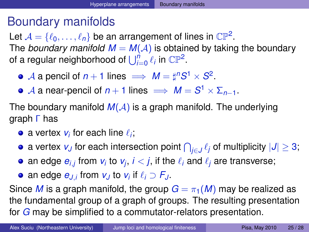## Boundary manifolds

Let  $\mathcal{A} = \{\ell_0, \ldots, \ell_n\}$  be an arrangement of lines in  $\mathbb{CP}^2$ . The *boundary manifold*  $M = M(A)$  is obtained by taking the boundary of a regular neighborhood of  $\bigcup_{i=0}^n \ell_i$  in  $\mathbb{CP}^2$ .

- $\mathcal{A}$  a pencil of  $n+1$  lines  $\implies M = \sharp^n S^1 \times S^2$ .
- $\mathcal A$  a near-pencil of  $n+1$  lines  $\implies M=S^1\times \Sigma_{n-1}.$

The boundary manifold  $M(A)$  is a graph manifold. The underlying graph Γ has

- a vertex  $v_i$  for each line  $\ell_i;$
- a vertex  $v_J$  for each intersection point  $\bigcap_{j\in J}\ell_j$  of multiplicity  $|J|\ge 3;$
- an edge  $e_{i,j}$  from  $v_i$  to  $v_j$ ,  $i < j$ , if the  $\ell_i$  and  $\ell_j$  are transverse;
- <span id="page-24-0"></span>an edge  $e_{J,i}$  from  $v_J$  to  $v_i$  if  $\ell_i \supset F_J$ .

Since *M* is a graph manifold, the group  $G = \pi_1(M)$  may be realized as the fundamental group of a graph of groups. The resulting presentation for *G* may be simplified to a commutator-relators presentation.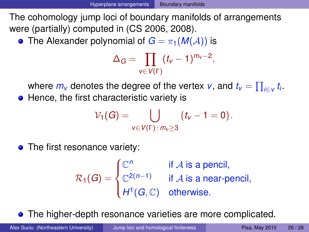The cohomology jump loci of boundary manifolds of arrangements were (partially) computed in (CS 2006, 2008).

• The Alexander polynomial of  $G = \pi_1(M(\mathcal{A}))$  is

$$
\Delta_G = \prod_{v \in V(\Gamma)} (t_v - 1)^{m_v - 2},
$$

where  $m_v$  denotes the degree of the vertex  $v$ , and  $t_v = \prod_{i \in v} t_i$ . • Hence, the first characteristic variety is

$$
\mathcal{V}_1(G) = \bigcup_{v \in V(\Gamma) : m_v \ge 3} \{t_v - 1 = 0\}.
$$

• The first resonance variety:

$$
\mathcal{R}_1(G) = \begin{cases} \mathbb{C}^n & \text{if } A \text{ is a pencil,} \\ \mathbb{C}^{2(n-1)} & \text{if } A \text{ is a near-period,} \\ H^1(G, \mathbb{C}) & \text{otherwise.} \end{cases}
$$

The higher-depth resonance varieties are more complicated.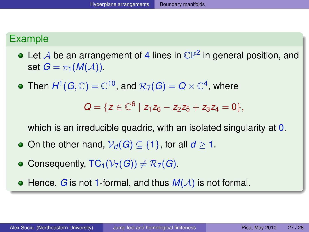### Example

- Let  ${\mathcal A}$  be an arrangement of 4 lines in  ${\mathbb C}{\mathbb P}^2$  in general position, and set  $G = \pi_1(M(\mathcal{A}))$ .
- Then  $H^1(G,\mathbb{C})=\mathbb{C}^{10},$  and  $\mathcal{R}_7(G)=Q\times\mathbb{C}^4,$  where

$$
Q = \{ z \in \mathbb{C}^6 \mid z_1 z_6 - z_2 z_5 + z_3 z_4 = 0 \},\
$$

which is an irreducible quadric, with an isolated singularity at 0.

- $\bullet$  On the other hand,  $V_d(G) \subseteq \{1\}$ , for all *d* ≥ 1.
- Consequently,  $TC_1(\mathcal{V}_7(G)) \neq \mathcal{R}_7(G)$ .

 $\bullet$  Hence, *G* is not 1-formal, and thus  $M(A)$  is not formal.